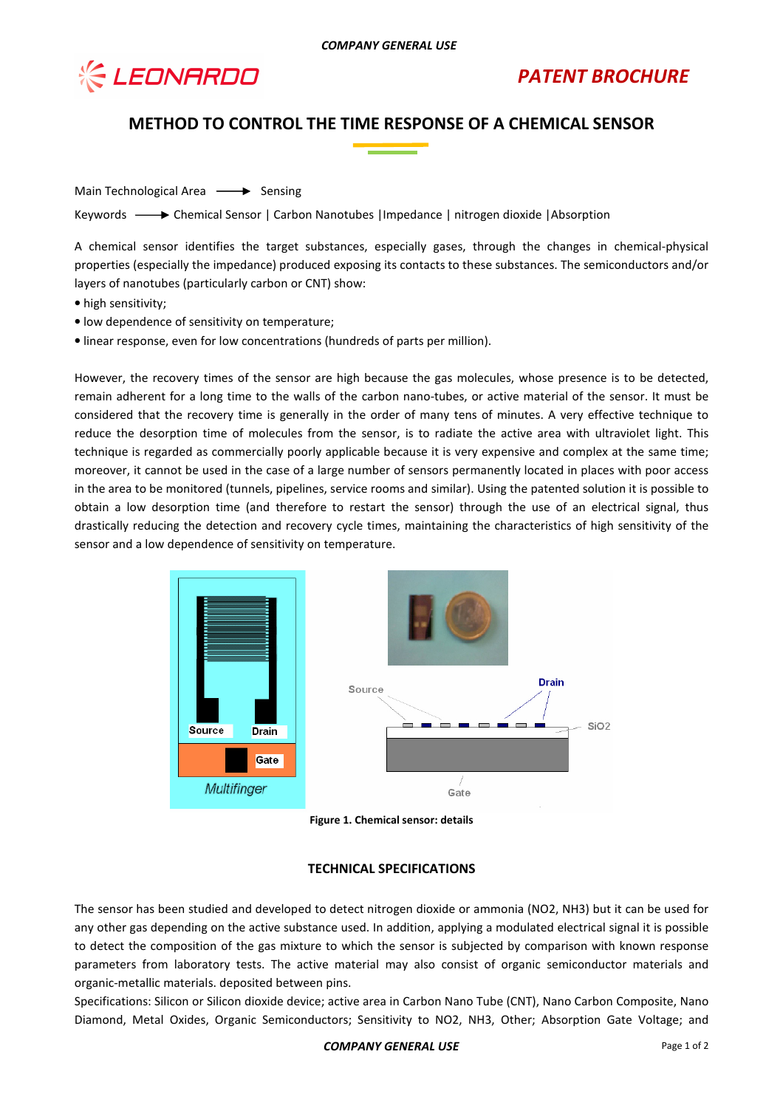

# **METHOD TO CONTROL THE TIME RESPONSE OF A CHEMICAL SENSOR**

Main Technological Area  $\longrightarrow$  Sensing

Keywords -  $\rightarrow$  Chemical Sensor | Carbon Nanotubes | Impedance | nitrogen dioxide | Absorption

A chemical sensor identifies the target substances, especially gases, through the changes in chemical-physical properties (especially the impedance) produced exposing its contacts to these substances. The semiconductors and/or layers of nanotubes (particularly carbon or CNT) show:

- high sensitivity;
- low dependence of sensitivity on temperature;
- linear response, even for low concentrations (hundreds of parts per million).

However, the recovery times of the sensor are high because the gas molecules, whose presence is to be detected, remain adherent for a long time to the walls of the carbon nano-tubes, or active material of the sensor. It must be considered that the recovery time is generally in the order of many tens of minutes. A very effective technique to reduce the desorption time of molecules from the sensor, is to radiate the active area with ultraviolet light. This technique is regarded as commercially poorly applicable because it is very expensive and complex at the same time; moreover, it cannot be used in the case of a large number of sensors permanently located in places with poor access in the area to be monitored (tunnels, pipelines, service rooms and similar). Using the patented solution it is possible to obtain a low desorption time (and therefore to restart the sensor) through the use of an electrical signal, thus drastically reducing the detection and recovery cycle times, maintaining the characteristics of high sensitivity of the sensor and a low dependence of sensitivity on temperature.



**Figure 1. Chemical sensor: details** 

#### **TECHNICAL SPECIFICATIONS**

The sensor has been studied and developed to detect nitrogen dioxide or ammonia (NO2, NH3) but it can be used for any other gas depending on the active substance used. In addition, applying a modulated electrical signal it is possible to detect the composition of the gas mixture to which the sensor is subjected by comparison with known response parameters from laboratory tests. The active material may also consist of organic semiconductor materials and organic-metallic materials. deposited between pins.

Specifications: Silicon or Silicon dioxide device; active area in Carbon Nano Tube (CNT), Nano Carbon Composite, Nano Diamond, Metal Oxides, Organic Semiconductors; Sensitivity to NO2, NH3, Other; Absorption Gate Voltage; and